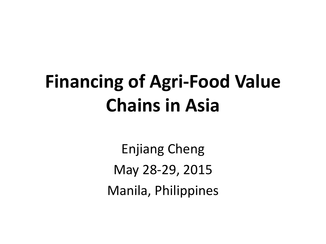# **Financing of Agri-Food Value Chains in Asia**

Enjiang Cheng May 28-29, 2015 Manila, Philippines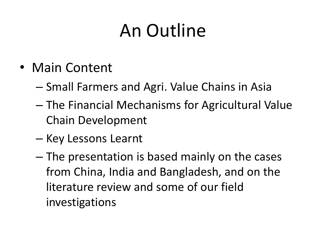## An Outline

- Main Content
	- Small Farmers and Agri. Value Chains in Asia
	- The Financial Mechanisms for Agricultural Value Chain Development
	- Key Lessons Learnt
	- The presentation is based mainly on the cases from China, India and Bangladesh, and on the literature review and some of our field investigations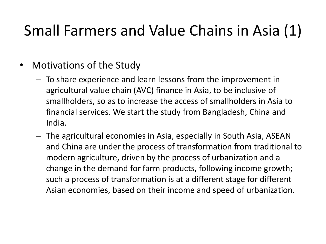## Small Farmers and Value Chains in Asia (1)

- Motivations of the Study
	- To share experience and learn lessons from the improvement in agricultural value chain (AVC) finance in Asia, to be inclusive of smallholders, so as to increase the access of smallholders in Asia to financial services. We start the study from Bangladesh, China and India.
	- The agricultural economies in Asia, especially in South Asia, ASEAN and China are under the process of transformation from traditional to modern agriculture, driven by the process of urbanization and a change in the demand for farm products, following income growth; such a process of transformation is at a different stage for different Asian economies, based on their income and speed of urbanization.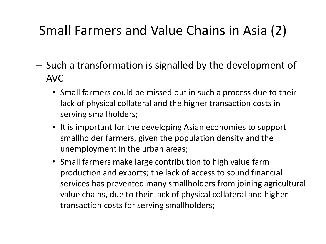## Small Farmers and Value Chains in Asia (2)

- Such a transformation is signalled by the development of AVC
	- Small farmers could be missed out in such a process due to their lack of physical collateral and the higher transaction costs in serving smallholders;
	- It is important for the developing Asian economies to support smallholder farmers, given the population density and the unemployment in the urban areas;
	- Small farmers make large contribution to high value farm production and exports; the lack of access to sound financial services has prevented many smallholders from joining agricultural value chains, due to their lack of physical collateral and higher transaction costs for serving smallholders;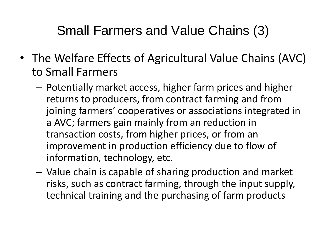#### Small Farmers and Value Chains (3)

- The Welfare Effects of Agricultural Value Chains (AVC) to Small Farmers
	- Potentially market access, higher farm prices and higher returns to producers, from contract farming and from joining farmers' cooperatives or associations integrated in a AVC; farmers gain mainly from an reduction in transaction costs, from higher prices, or from an improvement in production efficiency due to flow of information, technology, etc.
	- Value chain is capable of sharing production and market risks, such as contract farming, through the input supply, technical training and the purchasing of farm products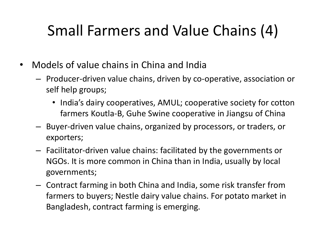## Small Farmers and Value Chains (4)

- Models of value chains in China and India
	- Producer-driven value chains, driven by co-operative, association or self help groups;
		- India's dairy cooperatives, AMUL; cooperative society for cotton farmers Koutla-B, Guhe Swine cooperative in Jiangsu of China
	- Buyer-driven value chains, organized by processors, or traders, or exporters;
	- Facilitator-driven value chains: facilitated by the governments or NGOs. It is more common in China than in India, usually by local governments;
	- Contract farming in both China and India, some risk transfer from farmers to buyers; Nestle dairy value chains. For potato market in Bangladesh, contract farming is emerging.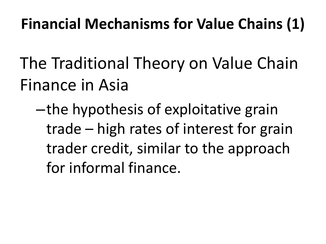## **Financial Mechanisms for Value Chains (1)**

- The Traditional Theory on Value Chain Finance in Asia
	- –the hypothesis of exploitative grain trade – high rates of interest for grain trader credit, similar to the approach for informal finance.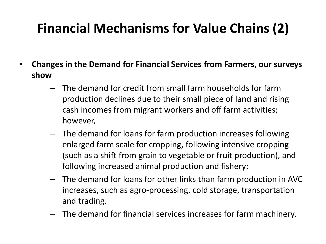## **Financial Mechanisms for Value Chains (2)**

- **Changes in the Demand for Financial Services from Farmers, our surveys show**
	- The demand for credit from small farm households for farm production declines due to their small piece of land and rising cash incomes from migrant workers and off farm activities; however,
	- The demand for loans for farm production increases following enlarged farm scale for cropping, following intensive cropping (such as a shift from grain to vegetable or fruit production), and following increased animal production and fishery;
	- The demand for loans for other links than farm production in AVC increases, such as agro-processing, cold storage, transportation and trading.
	- The demand for financial services increases for farm machinery.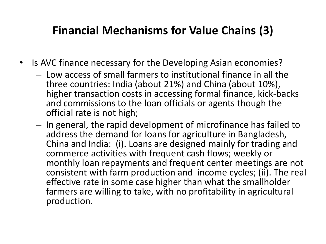#### **Financial Mechanisms for Value Chains (3)**

- Is AVC finance necessary for the Developing Asian economies?
	- Low access of small farmers to institutional finance in all the three countries: India (about 21%) and China (about 10%), higher transaction costs in accessing formal finance, kick-backs and commissions to the loan officials or agents though the official rate is not high;
	- In general, the rapid development of microfinance has failed to address the demand for loans for agriculture in Bangladesh, China and India: (i). Loans are designed mainly for trading and commerce activities with frequent cash flows; weekly or monthly loan repayments and frequent center meetings are not consistent with farm production and income cycles; (ii). The real effective rate in some case higher than what the smallholder farmers are willing to take, with no profitability in agricultural production.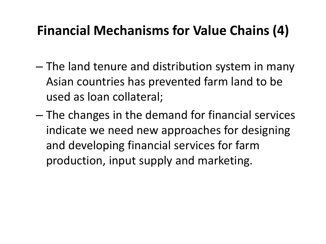### **Financial Mechanisms for Value Chains (4)**

- The land tenure and distribution system in many Asian countries has prevented farm land to be used as loan collateral;
- The changes in the demand for financial services indicate we need new approaches for designing and developing financial services for farm production, input supply and marketing.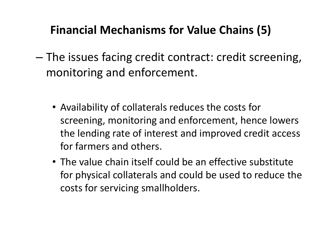#### **Financial Mechanisms for Value Chains (5)**

- The issues facing credit contract: credit screening, monitoring and enforcement.
	- Availability of collaterals reduces the costs for screening, monitoring and enforcement, hence lowers the lending rate of interest and improved credit access for farmers and others.
	- The value chain itself could be an effective substitute for physical collaterals and could be used to reduce the costs for servicing smallholders.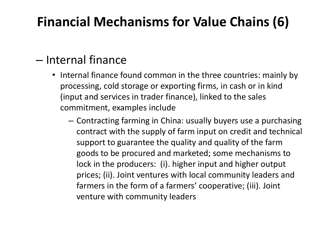## **Financial Mechanisms for Value Chains (6)**

#### – Internal finance

- Internal finance found common in the three countries: mainly by processing, cold storage or exporting firms, in cash or in kind (input and services in trader finance), linked to the sales commitment, examples include
	- Contracting farming in China: usually buyers use a purchasing contract with the supply of farm input on credit and technical support to guarantee the quality and quality of the farm goods to be procured and marketed; some mechanisms to lock in the producers: (i). higher input and higher output prices; (ii). Joint ventures with local community leaders and farmers in the form of a farmers' cooperative; (iii). Joint venture with community leaders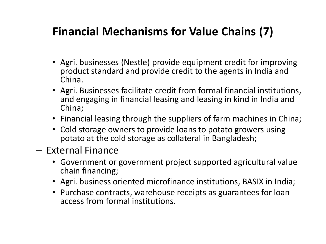#### **Financial Mechanisms for Value Chains (7)**

- Agri. businesses (Nestle) provide equipment credit for improving product standard and provide credit to the agents in India and China.
- Agri. Businesses facilitate credit from formal financial institutions, and engaging in financial leasing and leasing in kind in India and China;
- Financial leasing through the suppliers of farm machines in China;
- Cold storage owners to provide loans to potato growers using potato at the cold storage as collateral in Bangladesh;
- External Finance
	- Government or government project supported agricultural value chain financing;
	- Agri. business oriented microfinance institutions, BASIX in India;
	- Purchase contracts, warehouse receipts as guarantees for loan access from formal institutions.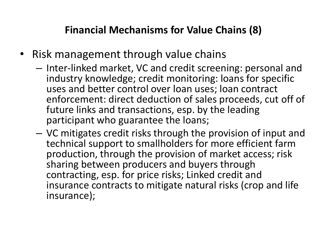#### **Financial Mechanisms for Value Chains (8)**

- Risk management through value chains
	- Inter-linked market, VC and credit screening: personal and industry knowledge; credit monitoring: loans for specific uses and better control over loan uses; loan contract enforcement: direct deduction of sales proceeds, cut off of future links and transactions, esp. by the leading participant who guarantee the loans;
	- VC mitigates credit risks through the provision of input and technical support to smallholders for more efficient farm production, through the provision of market access; risk sharing between producers and buyers through contracting, esp. for price risks; Linked credit and insurance contracts to mitigate natural risks (crop and life insurance);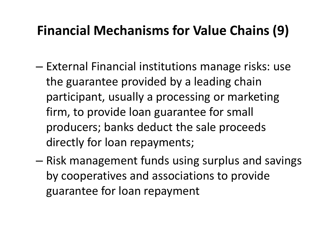### **Financial Mechanisms for Value Chains (9)**

- External Financial institutions manage risks: use the guarantee provided by a leading chain participant, usually a processing or marketing firm, to provide loan guarantee for small producers; banks deduct the sale proceeds directly for loan repayments;
- Risk management funds using surplus and savings by cooperatives and associations to provide guarantee for loan repayment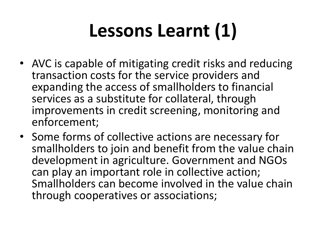# **Lessons Learnt (1)**

- AVC is capable of mitigating credit risks and reducing transaction costs for the service providers and expanding the access of smallholders to financial services as a substitute for collateral, through improvements in credit screening, monitoring and enforcement;
- Some forms of collective actions are necessary for smallholders to join and benefit from the value chain development in agriculture. Government and NGOs can play an important role in collective action; Smallholders can become involved in the value chain through cooperatives or associations;